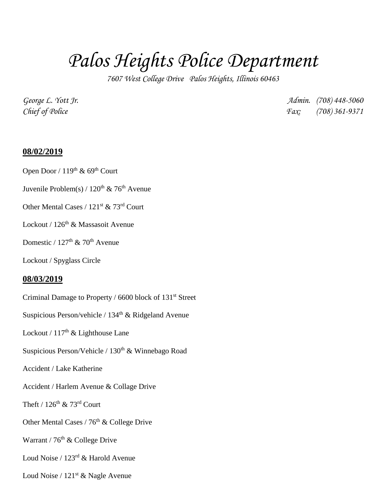# *Palos Heights Police Department*

*7607 West College Drive Palos Heights, Illinois 60463*

*George L. Yott Jr. Admin. (708) 448-5060 Chief of Police Fax: (708) 361-9371*

### **08/02/2019**

Open Door /  $119<sup>th</sup>$  &  $69<sup>th</sup>$  Court

Juvenile Problem(s) /  $120^{th}$  & 76<sup>th</sup> Avenue

Other Mental Cases / 121<sup>st</sup> & 73<sup>rd</sup> Court

Lockout / 126<sup>th</sup> & Massasoit Avenue

## Domestic /  $127<sup>th</sup>$  &  $70<sup>th</sup>$  Avenue

Lockout / Spyglass Circle

### **08/03/2019**

Criminal Damage to Property / 6600 block of 131<sup>st</sup> Street Suspicious Person/vehicle /  $134<sup>th</sup>$  & Ridgeland Avenue Lockout /  $117<sup>th</sup>$  & Lighthouse Lane Suspicious Person/Vehicle /  $130<sup>th</sup>$  & Winnebago Road Accident / Lake Katherine Accident / Harlem Avenue & Collage Drive Theft /  $126^{th}$  & 73<sup>rd</sup> Court Other Mental Cases /  $76<sup>th</sup>$  & College Drive Warrant /  $76<sup>th</sup>$  & College Drive Loud Noise / 123rd & Harold Avenue Loud Noise /  $121<sup>st</sup>$  & Nagle Avenue